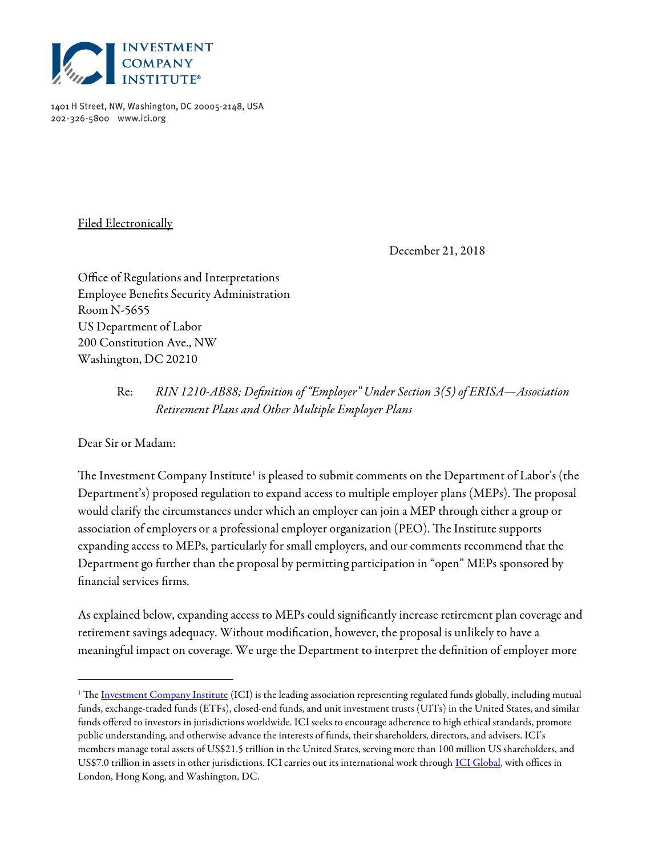

1401 H Street, NW, Washington, DC 20005-2148, USA 202-326-5800 www.ici.org

Filed Electronically

December 21, 2018

Office of Regulations and Interpretations Employee Benefits Security Administration Room N-5655 US Department of Labor 200 Constitution Ave., NW Washington, DC 20210

# Re: RIN 1210-AB88; Definition of "Employer" Under Section 3(5) of ERISA—Association Retirement Plans and Other Multiple Employer Plans

Dear Sir or Madam:

 $\overline{a}$ 

The Investment Company Institute $^{\scriptscriptstyle 1}$  is pleased to submit comments on the Department of Labor's (the Department's) proposed regulation to expand access to multiple employer plans (MEPs). The proposal would clarify the circumstances under which an employer can join a MEP through either a group or association of employers or a professional employer organization (PEO). The Institute supports expanding access to MEPs, particularly for small employers, and our comments recommend that the Department go further than the proposal by permitting participation in "open" MEPs sponsored by financial services firms.

As explained below, expanding access to MEPs could significantly increase retirement plan coverage and retirement savings adequacy. Without modification, however, the proposal is unlikely to have a meaningful impact on coverage. We urge the Department to interpret the definition of employer more

<sup>&</sup>lt;sup>1</sup> The <u>Investment Company Institute</u> (ICI) is the leading association representing regulated funds globally, including mutual funds, exchange-traded funds (ETFs), closed-end funds, and unit investment trusts (UITs) in the United States, and similar funds offered to investors in jurisdictions worldwide. ICI seeks to encourage adherence to high ethical standards, promote public understanding, and otherwise advance the interests of funds, their shareholders, directors, and advisers. ICI's members manage total assets of US\$21.5 trillion in the United States, serving more than 100 million US shareholders, and US\$7.0 trillion in assets in other jurisdictions. ICI carries out its international work through ICI Global, with offices in London, Hong Kong, and Washington, DC.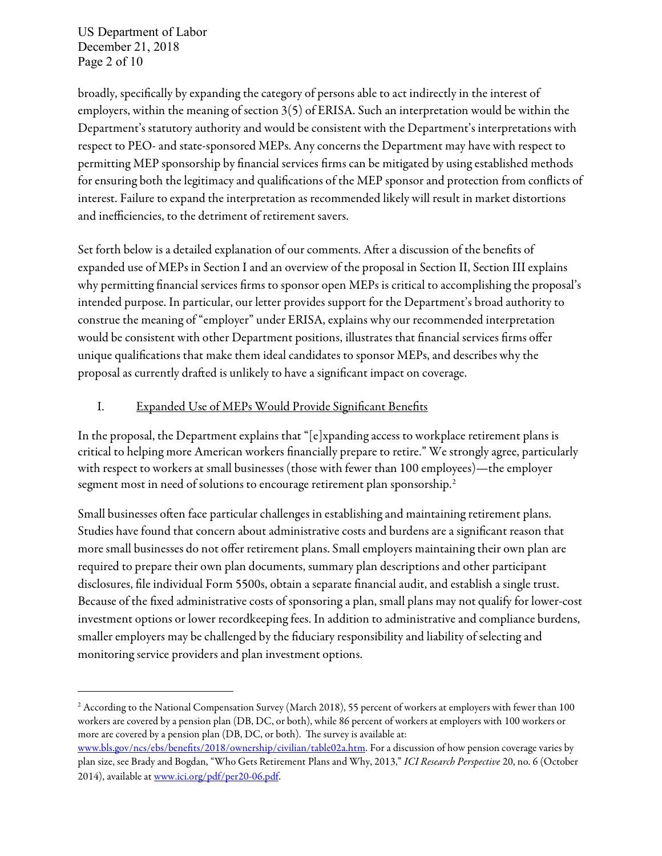US Department of Labor December 21, 2018 Page 2 of 10

 $\overline{a}$ 

broadly, specifically by expanding the category of persons able to act indirectly in the interest of employers, within the meaning of section 3(5) of ERISA. Such an interpretation would be within the Department's statutory authority and would be consistent with the Department's interpretations with respect to PEO- and state-sponsored MEPs. Any concerns the Department may have with respect to permitting MEP sponsorship by financial services firms can be mitigated by using established methods for ensuring both the legitimacy and qualifications of the MEP sponsor and protection from conflicts of interest. Failure to expand the interpretation as recommended likely will result in market distortions and inefficiencies, to the detriment of retirement savers.

Set forth below is a detailed explanation of our comments. After a discussion of the benefits of expanded use of MEPs in Section I and an overview of the proposal in Section II, Section III explains why permitting financial services firms to sponsor open MEPs is critical to accomplishing the proposal's intended purpose. In particular, our letter provides support for the Department's broad authority to construe the meaning of "employer" under ERISA, explains why our recommended interpretation would be consistent with other Department positions, illustrates that financial services firms offer unique qualifications that make them ideal candidates to sponsor MEPs, and describes why the proposal as currently drafted is unlikely to have a significant impact on coverage.

#### I. Expanded Use of MEPs Would Provide Significant Benefits

In the proposal, the Department explains that "[e]xpanding access to workplace retirement plans is critical to helping more American workers financially prepare to retire." We strongly agree, particularly with respect to workers at small businesses (those with fewer than 100 employees)—the employer segment most in need of solutions to encourage retirement plan sponsorship.<sup>2</sup>

Small businesses often face particular challenges in establishing and maintaining retirement plans. Studies have found that concern about administrative costs and burdens are a significant reason that more small businesses do not offer retirement plans. Small employers maintaining their own plan are required to prepare their own plan documents, summary plan descriptions and other participant disclosures, file individual Form 5500s, obtain a separate financial audit, and establish a single trust. Because of the fixed administrative costs of sponsoring a plan, small plans may not qualify for lower-cost investment options or lower recordkeeping fees. In addition to administrative and compliance burdens, smaller employers may be challenged by the fiduciary responsibility and liability of selecting and monitoring service providers and plan investment options.

<sup>2</sup> According to the National Compensation Survey (March 2018), 55 percent of workers at employers with fewer than 100 workers are covered by a pension plan (DB, DC, or both), while 86 percent of workers at employers with 100 workers or more are covered by a pension plan (DB, DC, or both). The survey is available at:

www.bls.gov/ncs/ebs/benefits/2018/ownership/civilian/table02a.htm. For a discussion of how pension coverage varies by plan size, see Brady and Bogdan, "Who Gets Retirement Plans and Why, 2013," ICI Research Perspective 20, no. 6 (October 2014), available at www.ici.org/pdf/per20-06.pdf.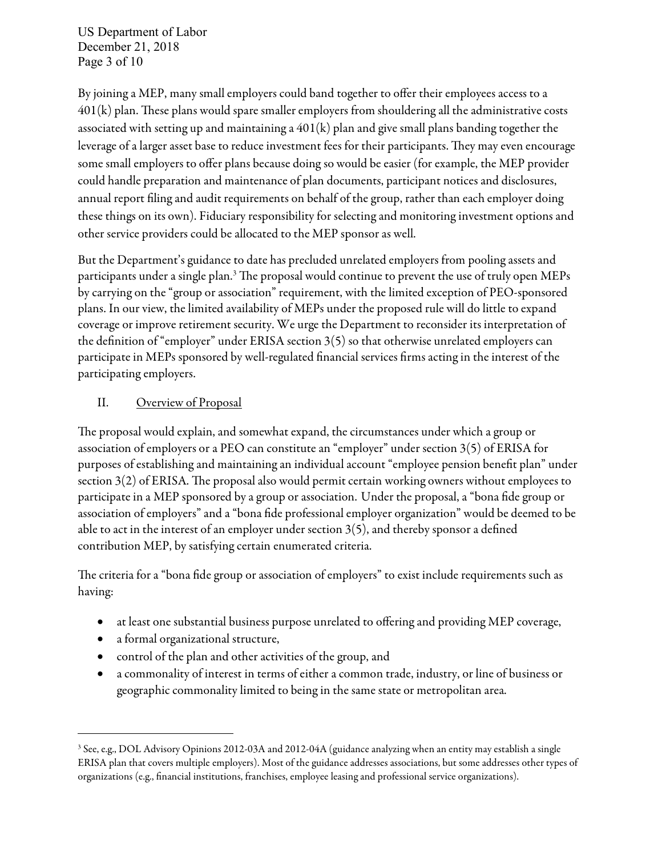US Department of Labor December 21, 2018 Page 3 of 10

By joining a MEP, many small employers could band together to offer their employees access to a  $401(k)$  plan. These plans would spare smaller employers from shouldering all the administrative costs associated with setting up and maintaining a 401(k) plan and give small plans banding together the leverage of a larger asset base to reduce investment fees for their participants. They may even encourage some small employers to offer plans because doing so would be easier (for example, the MEP provider could handle preparation and maintenance of plan documents, participant notices and disclosures, annual report filing and audit requirements on behalf of the group, rather than each employer doing these things on its own). Fiduciary responsibility for selecting and monitoring investment options and other service providers could be allocated to the MEP sponsor as well.

But the Department's guidance to date has precluded unrelated employers from pooling assets and participants under a single plan.<sup>3</sup> The proposal would continue to prevent the use of truly open MEPs by carrying on the "group or association" requirement, with the limited exception of PEO-sponsored plans. In our view, the limited availability of MEPs under the proposed rule will do little to expand coverage or improve retirement security. We urge the Department to reconsider its interpretation of the definition of "employer" under ERISA section 3(5) so that otherwise unrelated employers can participate in MEPs sponsored by well-regulated financial services firms acting in the interest of the participating employers.

#### II. Overview of Proposal

The proposal would explain, and somewhat expand, the circumstances under which a group or association of employers or a PEO can constitute an "employer" under section 3(5) of ERISA for purposes of establishing and maintaining an individual account "employee pension benefit plan" under section  $3(2)$  of ERISA. The proposal also would permit certain working owners without employees to participate in a MEP sponsored by a group or association. Under the proposal, a "bona fide group or association of employers" and a "bona fide professional employer organization" would be deemed to be able to act in the interest of an employer under section 3(5), and thereby sponsor a defined contribution MEP, by satisfying certain enumerated criteria.

The criteria for a "bona fide group or association of employers" to exist include requirements such as having:

- at least one substantial business purpose unrelated to offering and providing MEP coverage,
- a formal organizational structure,

- control of the plan and other activities of the group, and
- a commonality of interest in terms of either a common trade, industry, or line of business or geographic commonality limited to being in the same state or metropolitan area.

<sup>&</sup>lt;sup>3</sup> See, e.g., DOL Advisory Opinions 2012-03A and 2012-04A (guidance analyzing when an entity may establish a single ERISA plan that covers multiple employers). Most of the guidance addresses associations, but some addresses other types of organizations (e.g., financial institutions, franchises, employee leasing and professional service organizations).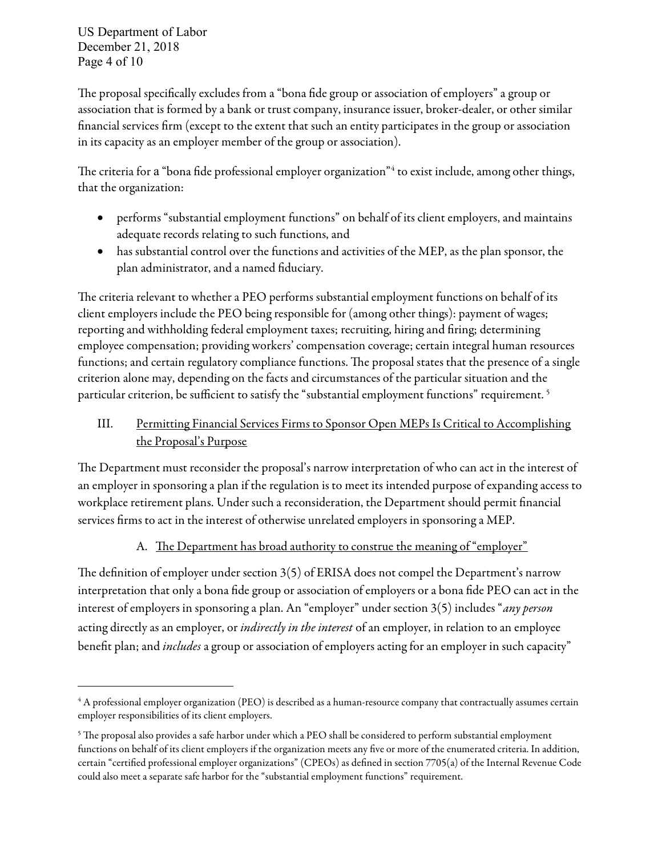US Department of Labor December 21, 2018 Page 4 of 10

 $\overline{a}$ 

The proposal specifically excludes from a "bona fide group or association of employers" a group or association that is formed by a bank or trust company, insurance issuer, broker-dealer, or other similar financial services firm (except to the extent that such an entity participates in the group or association in its capacity as an employer member of the group or association).

The criteria for a "bona fide professional employer organization"<sup>4</sup> to exist include, among other things, that the organization:

- performs "substantial employment functions" on behalf of its client employers, and maintains adequate records relating to such functions, and
- has substantial control over the functions and activities of the MEP, as the plan sponsor, the plan administrator, and a named fiduciary.

The criteria relevant to whether a PEO performs substantial employment functions on behalf of its client employers include the PEO being responsible for (among other things): payment of wages; reporting and withholding federal employment taxes; recruiting, hiring and firing; determining employee compensation; providing workers' compensation coverage; certain integral human resources functions; and certain regulatory compliance functions. The proposal states that the presence of a single criterion alone may, depending on the facts and circumstances of the particular situation and the particular criterion, be sufficient to satisfy the "substantial employment functions" requirement.<sup>5</sup>

# III. Permitting Financial Services Firms to Sponsor Open MEPs Is Critical to Accomplishing the Proposal's Purpose

The Department must reconsider the proposal's narrow interpretation of who can act in the interest of an employer in sponsoring a plan if the regulation is to meet its intended purpose of expanding access to workplace retirement plans. Under such a reconsideration, the Department should permit financial services firms to act in the interest of otherwise unrelated employers in sponsoring a MEP.

# A. The Department has broad authority to construe the meaning of "employer"

The definition of employer under section  $3(5)$  of ERISA does not compel the Department's narrow interpretation that only a bona fide group or association of employers or a bona fide PEO can act in the interest of employers in sponsoring a plan. An "employer" under section 3(5) includes "any person acting directly as an employer, or *indirectly in the interest* of an employer, in relation to an employee benefit plan; and *includes* a group or association of employers acting for an employer in such capacity"

<sup>4</sup> A professional employer organization (PEO) is described as a human-resource company that contractually assumes certain employer responsibilities of its client employers.

 $^5$  The proposal also provides a safe harbor under which a PEO shall be considered to perform substantial employment functions on behalf of its client employers if the organization meets any five or more of the enumerated criteria. In addition, certain "certified professional employer organizations" (CPEOs) as defined in section 7705(a) of the Internal Revenue Code could also meet a separate safe harbor for the "substantial employment functions" requirement.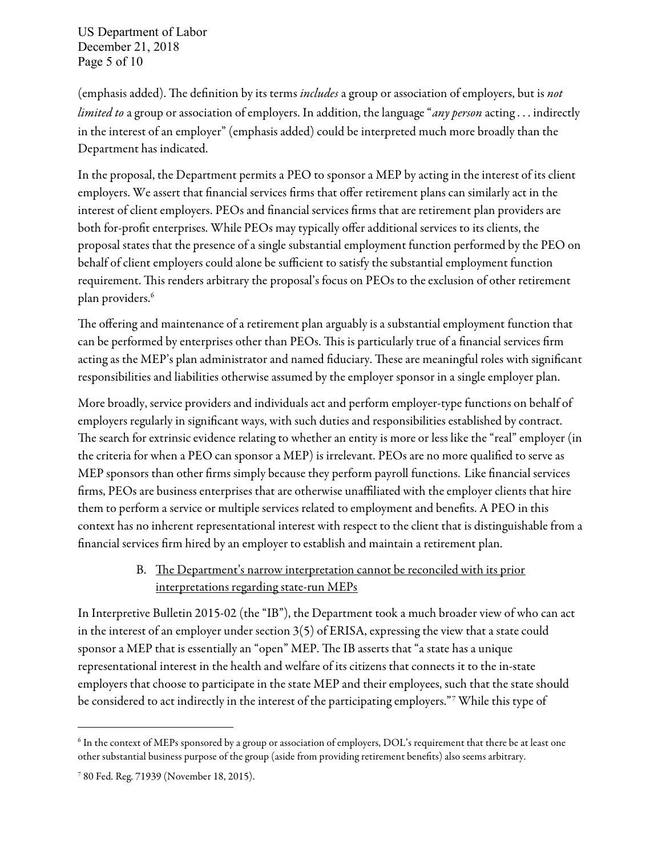US Department of Labor December 21, 2018 Page 5 of 10

(emphasis added). The definition by its terms *includes* a group or association of employers, but is not *limited to* a group or association of employers. In addition, the language "*any person* acting . . . indirectly in the interest of an employer" (emphasis added) could be interpreted much more broadly than the Department has indicated.

In the proposal, the Department permits a PEO to sponsor a MEP by acting in the interest of its client employers. We assert that financial services firms that offer retirement plans can similarly act in the interest of client employers. PEOs and financial services firms that are retirement plan providers are both for-profit enterprises. While PEOs may typically offer additional services to its clients, the proposal states that the presence of a single substantial employment function performed by the PEO on behalf of client employers could alone be sufficient to satisfy the substantial employment function requirement. This renders arbitrary the proposal's focus on PEOs to the exclusion of other retirement plan providers.<sup>6</sup>

The offering and maintenance of a retirement plan arguably is a substantial employment function that can be performed by enterprises other than PEOs. This is particularly true of a financial services firm acting as the MEP's plan administrator and named fiduciary. These are meaningful roles with significant responsibilities and liabilities otherwise assumed by the employer sponsor in a single employer plan.

More broadly, service providers and individuals act and perform employer-type functions on behalf of employers regularly in significant ways, with such duties and responsibilities established by contract. The search for extrinsic evidence relating to whether an entity is more or less like the "real" employer (in the criteria for when a PEO can sponsor a MEP) is irrelevant. PEOs are no more qualified to serve as MEP sponsors than other firms simply because they perform payroll functions. Like financial services firms, PEOs are business enterprises that are otherwise unaffiliated with the employer clients that hire them to perform a service or multiple services related to employment and benefits. A PEO in this context has no inherent representational interest with respect to the client that is distinguishable from a financial services firm hired by an employer to establish and maintain a retirement plan.

## B. The Department's narrow interpretation cannot be reconciled with its prior interpretations regarding state-run MEPs

In Interpretive Bulletin 2015-02 (the "IB"), the Department took a much broader view of who can act in the interest of an employer under section 3(5) of ERISA, expressing the view that a state could sponsor a MEP that is essentially an "open" MEP. The IB asserts that "a state has a unique representational interest in the health and welfare of its citizens that connects it to the in-state employers that choose to participate in the state MEP and their employees, such that the state should be considered to act indirectly in the interest of the participating employers."<sup>7</sup> While this type of

 $^6$  In the context of MEPs sponsored by a group or association of employers, DOL's requirement that there be at least one other substantial business purpose of the group (aside from providing retirement benefits) also seems arbitrary.

<sup>7</sup> 80 Fed. Reg. 71939 (November 18, 2015).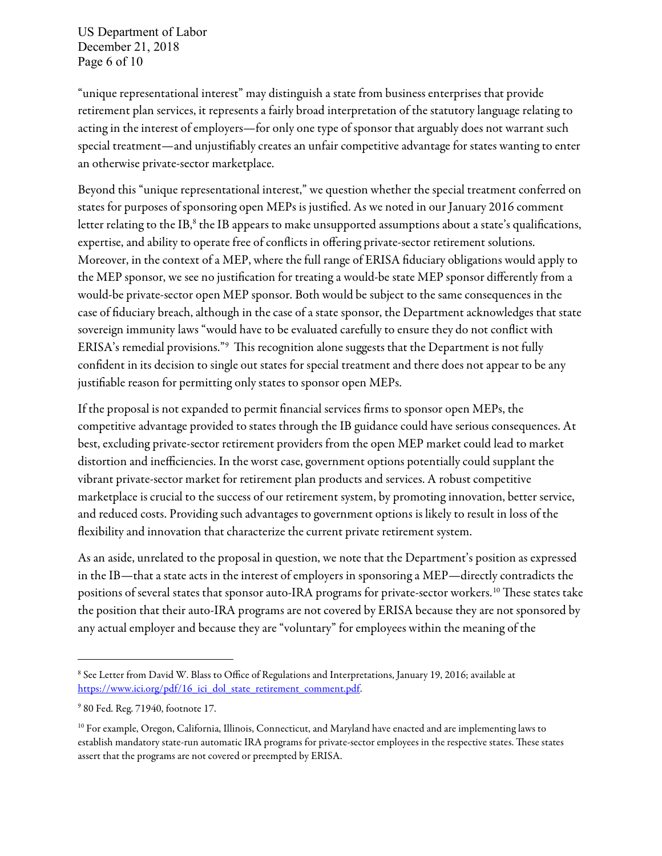US Department of Labor December 21, 2018 Page 6 of 10

"unique representational interest" may distinguish a state from business enterprises that provide retirement plan services, it represents a fairly broad interpretation of the statutory language relating to acting in the interest of employers—for only one type of sponsor that arguably does not warrant such special treatment—and unjustifiably creates an unfair competitive advantage for states wanting to enter an otherwise private-sector marketplace.

Beyond this "unique representational interest," we question whether the special treatment conferred on states for purposes of sponsoring open MEPs is justified. As we noted in our January 2016 comment letter relating to the IB, $^8$  the IB appears to make unsupported assumptions about a state's qualifications, expertise, and ability to operate free of conflicts in offering private-sector retirement solutions. Moreover, in the context of a MEP, where the full range of ERISA fiduciary obligations would apply to the MEP sponsor, we see no justification for treating a would-be state MEP sponsor differently from a would-be private-sector open MEP sponsor. Both would be subject to the same consequences in the case of fiduciary breach, although in the case of a state sponsor, the Department acknowledges that state sovereign immunity laws "would have to be evaluated carefully to ensure they do not conflict with ERISA's remedial provisions." $^{\circ}$  This recognition alone suggests that the Department is not fully confident in its decision to single out states for special treatment and there does not appear to be any justifiable reason for permitting only states to sponsor open MEPs.

If the proposal is not expanded to permit financial services firms to sponsor open MEPs, the competitive advantage provided to states through the IB guidance could have serious consequences. At best, excluding private-sector retirement providers from the open MEP market could lead to market distortion and inefficiencies. In the worst case, government options potentially could supplant the vibrant private-sector market for retirement plan products and services. A robust competitive marketplace is crucial to the success of our retirement system, by promoting innovation, better service, and reduced costs. Providing such advantages to government options is likely to result in loss of the flexibility and innovation that characterize the current private retirement system.

As an aside, unrelated to the proposal in question, we note that the Department's position as expressed in the IB—that a state acts in the interest of employers in sponsoring a MEP—directly contradicts the positions of several states that sponsor auto-IRA programs for private-sector workers.<sup>10</sup> These states take the position that their auto-IRA programs are not covered by ERISA because they are not sponsored by any actual employer and because they are "voluntary" for employees within the meaning of the

<sup>8</sup> See Letter from David W. Blass to Office of Regulations and Interpretations, January 19, 2016; available at https://www.ici.org/pdf/16\_ici\_dol\_state\_retirement\_comment.pdf.

<sup>9</sup> 80 Fed. Reg. 71940, footnote 17.

 $10$  For example, Oregon, California, Illinois, Connecticut, and Maryland have enacted and are implementing laws to establish mandatory state-run automatic IRA programs for private-sector employees in the respective states. These states assert that the programs are not covered or preempted by ERISA.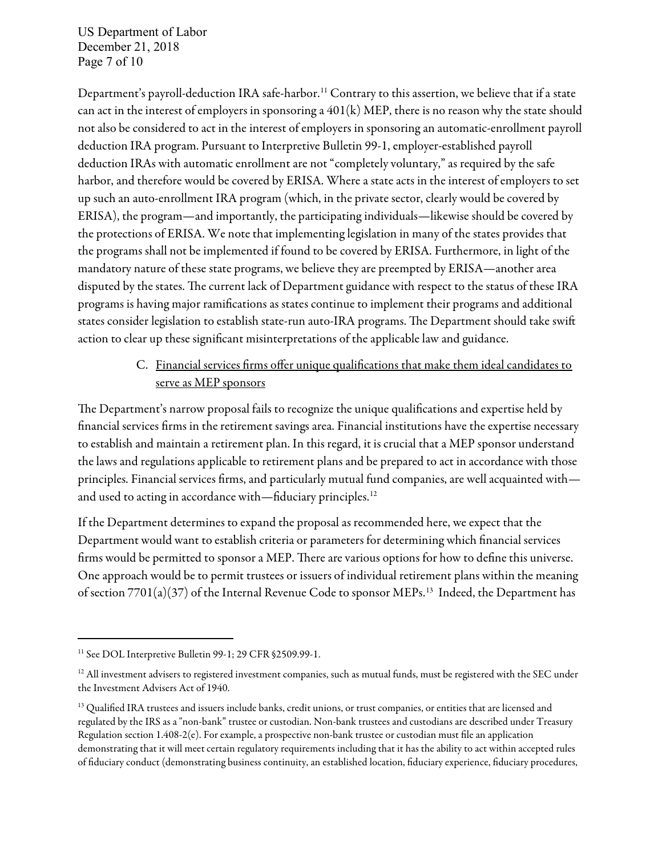US Department of Labor December 21, 2018 Page 7 of 10

Department's payroll-deduction IRA safe-harbor.<sup>11</sup> Contrary to this assertion, we believe that if a state can act in the interest of employers in sponsoring a 401(k) MEP, there is no reason why the state should not also be considered to act in the interest of employers in sponsoring an automatic-enrollment payroll deduction IRA program. Pursuant to Interpretive Bulletin 99-1, employer-established payroll deduction IRAs with automatic enrollment are not "completely voluntary," as required by the safe harbor, and therefore would be covered by ERISA. Where a state acts in the interest of employers to set up such an auto-enrollment IRA program (which, in the private sector, clearly would be covered by ERISA), the program—and importantly, the participating individuals—likewise should be covered by the protections of ERISA. We note that implementing legislation in many of the states provides that the programs shall not be implemented if found to be covered by ERISA. Furthermore, in light of the mandatory nature of these state programs, we believe they are preempted by ERISA—another area disputed by the states. The current lack of Department guidance with respect to the status of these IRA programs is having major ramifications as states continue to implement their programs and additional states consider legislation to establish state-run auto-IRA programs. The Department should take swift action to clear up these significant misinterpretations of the applicable law and guidance.

## C. Financial services firms offer unique qualifications that make them ideal candidates to serve as MEP sponsors

The Department's narrow proposal fails to recognize the unique qualifications and expertise held by financial services firms in the retirement savings area. Financial institutions have the expertise necessary to establish and maintain a retirement plan. In this regard, it is crucial that a MEP sponsor understand the laws and regulations applicable to retirement plans and be prepared to act in accordance with those principles. Financial services firms, and particularly mutual fund companies, are well acquainted with and used to acting in accordance with—fiduciary principles.<sup>12</sup>

If the Department determines to expand the proposal as recommended here, we expect that the Department would want to establish criteria or parameters for determining which financial services firms would be permitted to sponsor a MEP. There are various options for how to define this universe. One approach would be to permit trustees or issuers of individual retirement plans within the meaning of section 7701(a)(37) of the Internal Revenue Code to sponsor MEPs.<sup>13</sup> Indeed, the Department has

<sup>&</sup>lt;sup>11</sup> See DOL Interpretive Bulletin 99-1; 29 CFR §2509.99-1.

 $12$  All investment advisers to registered investment companies, such as mutual funds, must be registered with the SEC under the Investment Advisers Act of 1940.

<sup>&</sup>lt;sup>13</sup> Qualified IRA trustees and issuers include banks, credit unions, or trust companies, or entities that are licensed and regulated by the IRS as a "non-bank" trustee or custodian. Non-bank trustees and custodians are described under Treasury Regulation section 1.408-2(e). For example, a prospective non-bank trustee or custodian must file an application demonstrating that it will meet certain regulatory requirements including that it has the ability to act within accepted rules of fiduciary conduct (demonstrating business continuity, an established location, fiduciary experience, fiduciary procedures,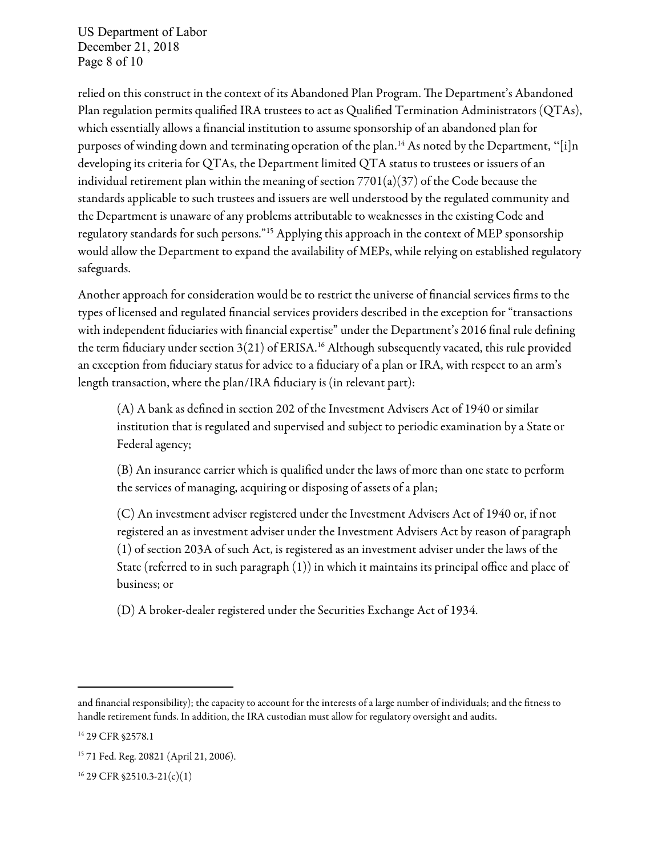US Department of Labor December 21, 2018 Page 8 of 10

relied on this construct in the context of its Abandoned Plan Program. The Department's Abandoned Plan regulation permits qualified IRA trustees to act as Qualified Termination Administrators (QTAs), which essentially allows a financial institution to assume sponsorship of an abandoned plan for purposes of winding down and terminating operation of the plan.<sup>14</sup> As noted by the Department, "[i]n developing its criteria for QTAs, the Department limited QTA status to trustees or issuers of an individual retirement plan within the meaning of section  $7701(a)(37)$  of the Code because the standards applicable to such trustees and issuers are well understood by the regulated community and the Department is unaware of any problems attributable to weaknesses in the existing Code and regulatory standards for such persons."<sup>15</sup> Applying this approach in the context of MEP sponsorship would allow the Department to expand the availability of MEPs, while relying on established regulatory safeguards.

Another approach for consideration would be to restrict the universe of financial services firms to the types of licensed and regulated financial services providers described in the exception for "transactions with independent fiduciaries with financial expertise" under the Department's 2016 final rule defining the term fiduciary under section 3(21) of ERISA.<sup>16</sup> Although subsequently vacated, this rule provided an exception from fiduciary status for advice to a fiduciary of a plan or IRA, with respect to an arm's length transaction, where the plan/IRA fiduciary is (in relevant part):

(A) A bank as defined in section 202 of the Investment Advisers Act of 1940 or similar institution that is regulated and supervised and subject to periodic examination by a State or Federal agency;

(B) An insurance carrier which is qualified under the laws of more than one state to perform the services of managing, acquiring or disposing of assets of a plan;

(C) An investment adviser registered under the Investment Advisers Act of 1940 or, if not registered an as investment adviser under the Investment Advisers Act by reason of paragraph (1) of section 203A of such Act, is registered as an investment adviser under the laws of the State (referred to in such paragraph (1)) in which it maintains its principal office and place of business; or

(D) A broker-dealer registered under the Securities Exchange Act of 1934.

and financial responsibility); the capacity to account for the interests of a large number of individuals; and the fitness to handle retirement funds. In addition, the IRA custodian must allow for regulatory oversight and audits.

<sup>&</sup>lt;sup>14</sup> 29 CFR §2578.1

<sup>15</sup> 71 Fed. Reg. 20821 (April 21, 2006).

<sup>16</sup> 29 CFR §2510.3-21(c)(1)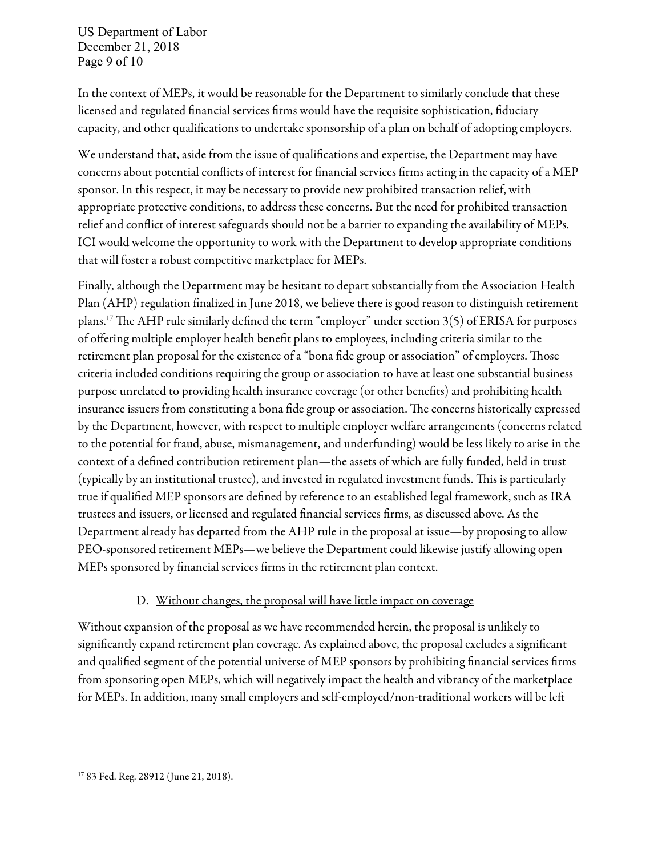US Department of Labor December 21, 2018 Page 9 of 10

In the context of MEPs, it would be reasonable for the Department to similarly conclude that these licensed and regulated financial services firms would have the requisite sophistication, fiduciary capacity, and other qualifications to undertake sponsorship of a plan on behalf of adopting employers.

We understand that, aside from the issue of qualifications and expertise, the Department may have concerns about potential conflicts of interest for financial services firms acting in the capacity of a MEP sponsor. In this respect, it may be necessary to provide new prohibited transaction relief, with appropriate protective conditions, to address these concerns. But the need for prohibited transaction relief and conflict of interest safeguards should not be a barrier to expanding the availability of MEPs. ICI would welcome the opportunity to work with the Department to develop appropriate conditions that will foster a robust competitive marketplace for MEPs.

Finally, although the Department may be hesitant to depart substantially from the Association Health Plan (AHP) regulation finalized in June 2018, we believe there is good reason to distinguish retirement plans.<sup>17</sup> The AHP rule similarly defined the term "employer" under section  $3(5)$  of ERISA for purposes of offering multiple employer health benefit plans to employees, including criteria similar to the retirement plan proposal for the existence of a "bona fide group or association" of employers. Those criteria included conditions requiring the group or association to have at least one substantial business purpose unrelated to providing health insurance coverage (or other benefits) and prohibiting health insurance issuers from constituting a bona fide group or association. The concerns historically expressed by the Department, however, with respect to multiple employer welfare arrangements (concerns related to the potential for fraud, abuse, mismanagement, and underfunding) would be less likely to arise in the context of a defined contribution retirement plan—the assets of which are fully funded, held in trust (typically by an institutional trustee), and invested in regulated investment funds. This is particularly true if qualified MEP sponsors are defined by reference to an established legal framework, such as IRA trustees and issuers, or licensed and regulated financial services firms, as discussed above. As the Department already has departed from the AHP rule in the proposal at issue—by proposing to allow PEO-sponsored retirement MEPs—we believe the Department could likewise justify allowing open MEPs sponsored by financial services firms in the retirement plan context.

#### D. Without changes, the proposal will have little impact on coverage

Without expansion of the proposal as we have recommended herein, the proposal is unlikely to significantly expand retirement plan coverage. As explained above, the proposal excludes a significant and qualified segment of the potential universe of MEP sponsors by prohibiting financial services firms from sponsoring open MEPs, which will negatively impact the health and vibrancy of the marketplace for MEPs. In addition, many small employers and self-employed/non-traditional workers will be le

<sup>17</sup> 83 Fed. Reg. 28912 (June 21, 2018).